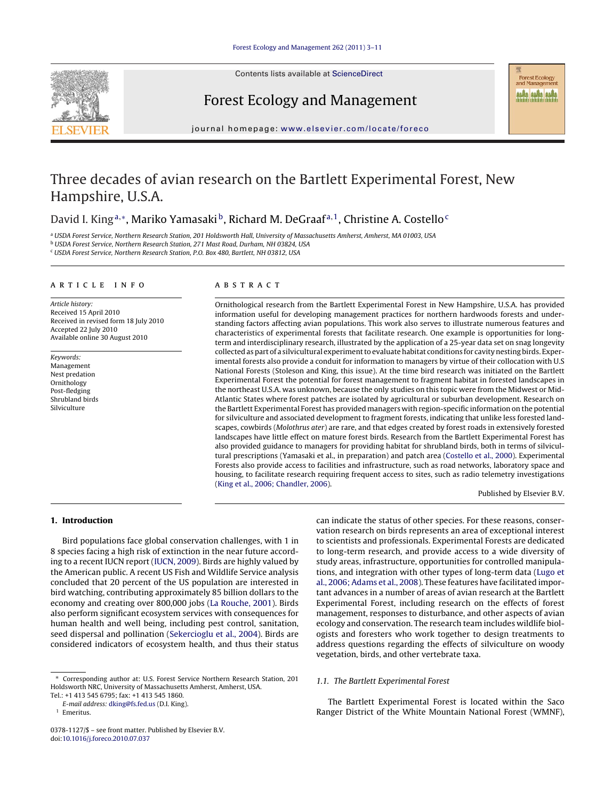

Contents lists available at [ScienceDirect](http://www.sciencedirect.com/science/journal/03781127)

# Forest Ecology and Management

**Forest Ecology** and Management **NARA NARA NARA** 

journal homepage: [www.elsevier.com/locate/foreco](http://www.elsevier.com/locate/foreco)

# Three decades of avian research on the Bartlett Experimental Forest, New Hampshire, U.S.A.

# David I. King<sup>a,∗</sup>, Mariko Yamasaki<sup>b</sup>, Richard M. DeGraaf<sup>a,1</sup>, Christine A. Costello<sup>c</sup>

<sup>a</sup> USDA Forest Service, Northern Research Station, 201 Holdsworth Hall, University of Massachusetts Amherst, Amherst, MA 01003, USA

<sup>b</sup> USDA Forest Service, Northern Research Station, 271 Mast Road, Durham, NH 03824, USA

<sup>c</sup> USDA Forest Service, Northern Research Station, P.O. Box 480, Bartlett, NH 03812, USA

# article info

Article history: Received 15 April 2010 Received in revised form 18 July 2010 Accepted 22 July 2010 Available online 30 August 2010

Keywords: Management Nest predation Ornithology Post-fledging Shrubland birds Silviculture

# **ABSTRACT**

Ornithological research from the Bartlett Experimental Forest in New Hampshire, U.S.A. has provided information useful for developing management practices for northern hardwoods forests and understanding factors affecting avian populations. This work also serves to illustrate numerous features and characteristics of experimental forests that facilitate research. One example is opportunities for longterm and interdisciplinary research, illustrated by the application of a 25-year data set on snag longevity collected as part of a silvicultural experiment to evaluate habitat conditions for cavity nesting birds. Experimental forests also provide a conduit for information to managers by virtue of their collocation with U.S National Forests (Stoleson and King, this issue). At the time bird research was initiated on the Bartlett Experimental Forest the potential for forest management to fragment habitat in forested landscapes in the northeast U.S.A. was unknown, because the only studies on this topic were from the Midwest or Mid-Atlantic States where forest patches are isolated by agricultural or suburban development. Research on the Bartlett Experimental Forest has provided managers with region-specific information on the potential for silviculture and associated development to fragment forests, indicating that unlike less forested landscapes, cowbirds (Molothrus ater) are rare, and that edges created by forest roads in extensively forested landscapes have little effect on mature forest birds. Research from the Bartlett Experimental Forest has also provided guidance to managers for providing habitat for shrubland birds, both in terms of silvicultural prescriptions (Yamasaki et al., in preparation) and patch area ([Costello et al., 2000\).](#page-6-0) Experimental Forests also provide access to facilities and infrastructure, such as road networks, laboratory space and housing, to facilitate research requiring frequent access to sites, such as radio telemetry investigations [\(King et al., 2006; Chandler, 2006\).](#page-7-0)

Published by Elsevier B.V.

# **1. Introduction**

Bird populations face global conservation challenges, with 1 in 8 species facing a high risk of extinction in the near future according to a recent IUCN report ([IUCN, 2009\).](#page-7-0) Birds are highly valued by the American public. A recent US Fish and Wildlife Service analysis concluded that 20 percent of the US population are interested in bird watching, contributing approximately 85 billion dollars to the economy and creating over 800,000 jobs ([La Rouche, 2001\).](#page-7-0) Birds also perform significant ecosystem services with consequences for human health and well being, including pest control, sanitation, seed dispersal and pollination ([Sekercioglu et al., 2004\).](#page-7-0) Birds are considered indicators of ecosystem health, and thus their status can indicate the status of other species. For these reasons, conservation research on birds represents an area of exceptional interest to scientists and professionals. Experimental Forests are dedicated to long-term research, and provide access to a wide diversity of study areas, infrastructure, opportunities for controlled manipulations, and integration with other types of long-term data ([Lugo et](#page-7-0) [al., 2006; Adams et al., 2008\).](#page-7-0) These features have facilitated important advances in a number of areas of avian research at the Bartlett Experimental Forest, including research on the effects of forest management, responses to disturbance, and other aspects of avian ecology and conservation. The research team includes wildlife biologists and foresters who work together to design treatments to address questions regarding the effects of silviculture on woody vegetation, birds, and other vertebrate taxa.

# 1.1. The Bartlett Experimental Forest

The Bartlett Experimental Forest is located within the Saco Ranger District of the White Mountain National Forest (WMNF),

Corresponding author at: U.S. Forest Service Northern Research Station, 201 Holdsworth NRC, University of Massachusetts Amherst, Amherst, USA.

Tel.: +1 413 545 6795; fax: +1 413 545 1860.

E-mail address: [dking@fs.fed.us](mailto:dking@fs.fed.us) (D.I. King).

**Emeritus** 

<sup>0378-1127/\$ –</sup> see front matter. Published by Elsevier B.V. doi:[10.1016/j.foreco.2010.07.037](dx.doi.org/10.1016/j.foreco.2010.07.037)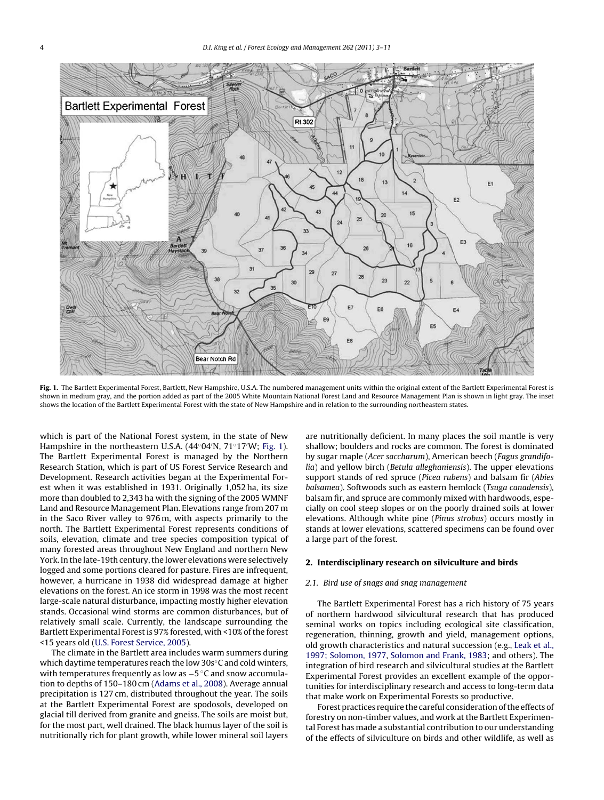

**Fig. 1.** The Bartlett Experimental Forest, Bartlett, New Hampshire, U.S.A. The numbered management units within the original extent of the Bartlett Experimental Forest is shown in medium gray, and the portion added as part of the 2005 White Mountain National Forest Land and Resource Management Plan is shown in light gray. The inset shows the location of the Bartlett Experimental Forest with the state of New Hampshire and in relation to the surrounding northeastern states.

which is part of the National Forest system, in the state of New Hampshire in the northeastern U.S.A. (44◦04 N, 71◦17 W; Fig. 1). The Bartlett Experimental Forest is managed by the Northern Research Station, which is part of US Forest Service Research and Development. Research activities began at the Experimental Forest when it was established in 1931. Originally 1,052 ha, its size more than doubled to 2,343 ha with the signing of the 2005 WMNF Land and Resource Management Plan. Elevations range from 207 m in the Saco River valley to 976 m, with aspects primarily to the north. The Bartlett Experimental Forest represents conditions of soils, elevation, climate and tree species composition typical of many forested areas throughout New England and northern New York. In the late-19th century, the lower elevations were selectively logged and some portions cleared for pasture. Fires are infrequent, however, a hurricane in 1938 did widespread damage at higher elevations on the forest. An ice storm in 1998 was the most recent large-scale natural disturbance, impacting mostly higher elevation stands. Occasional wind storms are common disturbances, but of relatively small scale. Currently, the landscape surrounding the Bartlett Experimental Forest is 97% forested, with <10% of the forest <15 years old ([U.S. Forest Service, 2005\).](#page-7-0)

The climate in the Bartlett area includes warm summers during which daytime temperatures reach the low 30s<sup>°</sup>C and cold winters, with temperatures frequently as low as -5 °C and snow accumulation to depths of 150–180 cm [\(Adams et al., 2008\).](#page-6-0) Average annual precipitation is 127 cm, distributed throughout the year. The soils at the Bartlett Experimental Forest are spodosols, developed on glacial till derived from granite and gneiss. The soils are moist but, for the most part, well drained. The black humus layer of the soil is nutritionally rich for plant growth, while lower mineral soil layers

are nutritionally deficient. In many places the soil mantle is very shallow; boulders and rocks are common. The forest is dominated by sugar maple (Acer saccharum), American beech (Fagus grandifolia) and yellow birch (Betula alleghaniensis). The upper elevations support stands of red spruce (Picea rubens) and balsam fir (Abies balsamea). Softwoods such as eastern hemlock (Tsuga canadensis), balsam fir, and spruce are commonly mixed with hardwoods, especially on cool steep slopes or on the poorly drained soils at lower elevations. Although white pine (Pinus strobus) occurs mostly in stands at lower elevations, scattered specimens can be found over a large part of the forest.

# **2. Interdisciplinary research on silviculture and birds**

#### 2.1. Bird use of snags and snag management

The Bartlett Experimental Forest has a rich history of 75 years of northern hardwood silvicultural research that has produced seminal works on topics including ecological site classification, regeneration, thinning, growth and yield, management options, old growth characteristics and natural succession (e.g., [Leak et al.,](#page-7-0) [1997; Solomon, 1977,](#page-7-0) [Solomon and Frank, 1983;](#page-7-0) and others). The integration of bird research and silvicultural studies at the Bartlett Experimental Forest provides an excellent example of the opportunities for interdisciplinary research and access to long-term data that make work on Experimental Forests so productive.

Forest practices require the careful consideration of the effects of forestry on non-timber values, and work at the Bartlett Experimental Forest has made a substantial contribution to our understanding of the effects of silviculture on birds and other wildlife, as well as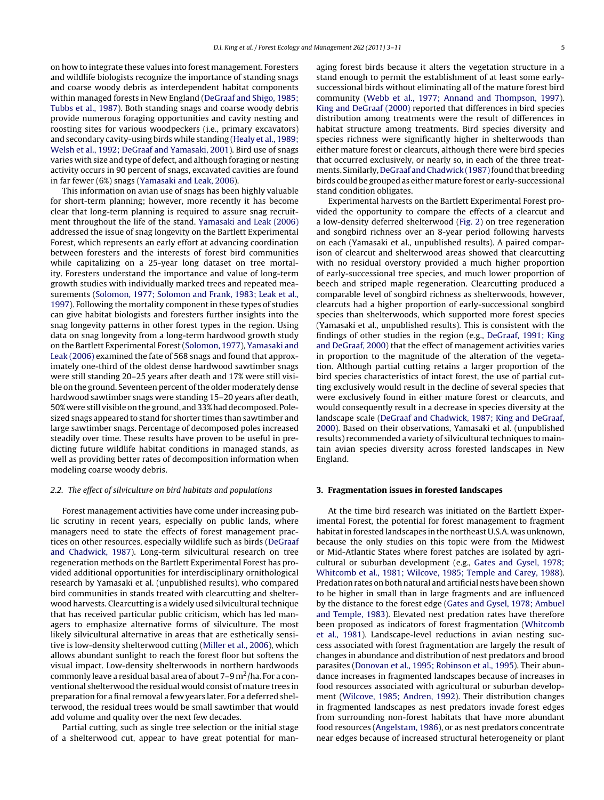on how to integrate these values into forest management. Foresters and wildlife biologists recognize the importance of standing snags and coarse woody debris as interdependent habitat components within managed forests in New England ([DeGraaf and Shigo, 1985;](#page-6-0) [Tubbs et al., 1987\).](#page-6-0) Both standing snags and coarse woody debris provide numerous foraging opportunities and cavity nesting and roosting sites for various woodpeckers (i.e., primary excavators) and secondary cavity-using birds while standing [\(Healy et al., 1989;](#page-7-0) [Welsh et al., 1992; DeGraaf and Yamasaki, 2001\).](#page-7-0) Bird use of snags varies with size and type of defect, and although foraging or nesting activity occurs in 90 percent of snags, excavated cavities are found in far fewer (6%) snags [\(Yamasaki and Leak, 2006\).](#page-8-0)

This information on avian use of snags has been highly valuable for short-term planning; however, more recently it has become clear that long-term planning is required to assure snag recruitment throughout the life of the stand. [Yamasaki and Leak \(2006\)](#page-8-0) addressed the issue of snag longevity on the Bartlett Experimental Forest, which represents an early effort at advancing coordination between foresters and the interests of forest bird communities while capitalizing on a 25-year long dataset on tree mortality. Foresters understand the importance and value of long-term growth studies with individually marked trees and repeated measurements [\(Solomon, 1977; Solomon and Frank, 1983; Leak et al.,](#page-7-0) [1997\).](#page-7-0) Following the mortality component in these types of studies can give habitat biologists and foresters further insights into the snag longevity patterns in other forest types in the region. Using data on snag longevity from a long-term hardwood growth study on the Bartlett Experimental Forest [\(Solomon, 1977\),](#page-7-0) [Yamasaki and](#page-8-0) [Leak \(2006\)](#page-8-0) examined the fate of 568 snags and found that approximately one-third of the oldest dense hardwood sawtimber snags were still standing 20–25 years after death and 17% were still visible on the ground. Seventeen percent of the older moderately dense hardwood sawtimber snags were standing 15–20 years after death, 50% were still visible on the ground, and 33% had decomposed. Polesized snags appeared to stand for shorter times than sawtimber and large sawtimber snags. Percentage of decomposed poles increased steadily over time. These results have proven to be useful in predicting future wildlife habitat conditions in managed stands, as well as providing better rates of decomposition information when modeling coarse woody debris.

# 2.2. The effect of silviculture on bird habitats and populations

Forest management activities have come under increasing public scrutiny in recent years, especially on public lands, where managers need to state the effects of forest management practices on other resources, especially wildlife such as birds [\(DeGraaf](#page-6-0) [and Chadwick, 1987\).](#page-6-0) Long-term silvicultural research on tree regeneration methods on the Bartlett Experimental Forest has provided additional opportunities for interdisciplinary ornithological research by Yamasaki et al. (unpublished results), who compared bird communities in stands treated with clearcutting and shelterwood harvests. Clearcutting is a widely used silvicultural technique that has received particular public criticism, which has led managers to emphasize alternative forms of silviculture. The most likely silvicultural alternative in areas that are esthetically sensitive is low-density shelterwood cutting [\(Miller et al., 2006\),](#page-7-0) which allows abundant sunlight to reach the forest floor but softens the visual impact. Low-density shelterwoods in northern hardwoods commonly leave a residual basal area of about  $7-9$  m<sup>2</sup>/ha. For a conventional shelterwood the residual would consist of mature trees in preparation for a final removal a few years later. For a deferred shelterwood, the residual trees would be small sawtimber that would add volume and quality over the next few decades.

Partial cutting, such as single tree selection or the initial stage of a shelterwood cut, appear to have great potential for managing forest birds because it alters the vegetation structure in a stand enough to permit the establishment of at least some earlysuccessional birds without eliminating all of the mature forest bird community [\(Webb et al., 1977; Annand and Thompson, 1997\).](#page-7-0) [King and DeGraaf \(2000\)](#page-7-0) reported that differences in bird species distribution among treatments were the result of differences in habitat structure among treatments. Bird species diversity and species richness were significantly higher in shelterwoods than either mature forest or clearcuts, although there were bird species that occurred exclusively, or nearly so, in each of the three treatments. Similarly, DeGraaf and Chadwick (1987) found that breeding birds could be grouped as either mature forest or early-successional stand condition obligates.

Experimental harvests on the Bartlett Experimental Forest provided the opportunity to compare the effects of a clearcut and a low-density deferred shelterwood [\(Fig. 2\)](#page-3-0) on tree regeneration and songbird richness over an 8-year period following harvests on each (Yamasaki et al., unpublished results). A paired comparison of clearcut and shelterwood areas showed that clearcutting with no residual overstory provided a much higher proportion of early-successional tree species, and much lower proportion of beech and striped maple regeneration. Clearcutting produced a comparable level of songbird richness as shelterwoods, however, clearcuts had a higher proportion of early-successional songbird species than shelterwoods, which supported more forest species (Yamasaki et al., unpublished results). This is consistent with the findings of other studies in the region (e.g., [DeGraaf, 1991; King](#page-6-0) [and DeGraaf, 2000\)](#page-6-0) that the effect of management activities varies in proportion to the magnitude of the alteration of the vegetation. Although partial cutting retains a larger proportion of the bird species characteristics of intact forest, the use of partial cutting exclusively would result in the decline of several species that were exclusively found in either mature forest or clearcuts, and would consequently result in a decrease in species diversity at the landscape scale [\(DeGraaf and Chadwick, 1987; King and DeGraaf,](#page-6-0) [2000\).](#page-6-0) Based on their observations, Yamasaki et al. (unpublished results) recommended a variety of silvicultural techniques to maintain avian species diversity across forested landscapes in New England.

# **3. Fragmentation issues in forested landscapes**

At the time bird research was initiated on the Bartlett Experimental Forest, the potential for forest management to fragment habitat in forested landscapes in the northeast U.S.A. was unknown, because the only studies on this topic were from the Midwest or Mid-Atlantic States where forest patches are isolated by agricultural or suburban development (e.g., [Gates and Gysel, 1978;](#page-7-0) [Whitcomb et al., 1981; Wilcove, 1985; Temple and Carey, 1988\).](#page-7-0) Predation rates on both natural and artificial nests have been shown to be higher in small than in large fragments and are influenced by the distance to the forest edge ([Gates and Gysel, 1978; Ambuel](#page-7-0) [and Temple, 1983\).](#page-7-0) Elevated nest predation rates have therefore been proposed as indicators of forest fragmentation [\(Whitcomb](#page-8-0) [et al., 1981\).](#page-8-0) Landscape-level reductions in avian nesting success associated with forest fragmentation are largely the result of changes in abundance and distribution of nest predators and brood parasites ([Donovan et al., 1995; Robinson et al., 1995\).](#page-7-0) Their abundance increases in fragmented landscapes because of increases in food resources associated with agricultural or suburban development ([Wilcove, 1985; Andren, 1992\).](#page-8-0) Their distribution changes in fragmented landscapes as nest predators invade forest edges from surrounding non-forest habitats that have more abundant food resources [\(Angelstam, 1986\),](#page-6-0) or as nest predators concentrate near edges because of increased structural heterogeneity or plant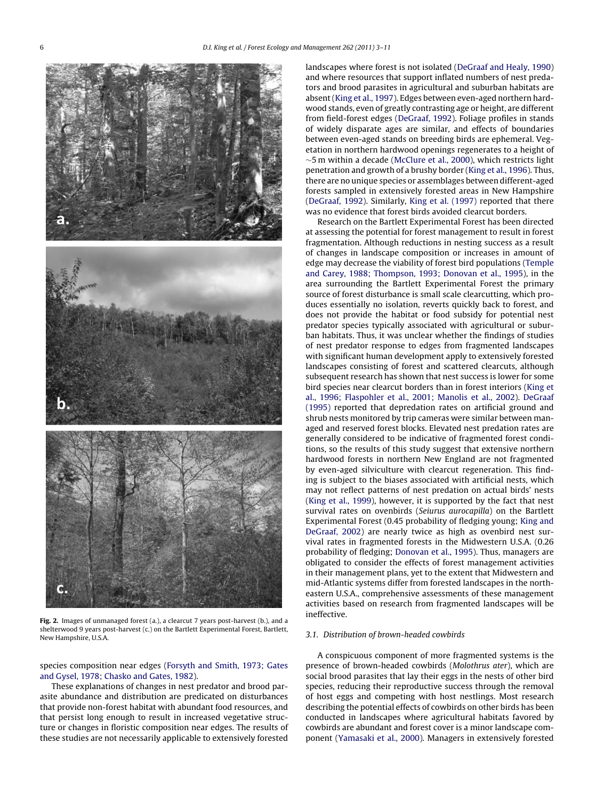<span id="page-3-0"></span>

**Fig. 2.** Images of unmanaged forest (a.), a clearcut 7 years post-harvest (b.), and a shelterwood 9 years post-harvest (c.) on the Bartlett Experimental Forest, Bartlett, New Hampshire, U.S.A.

# species composition near edges ([Forsyth and Smith, 1973; Gates](#page-7-0) [and Gysel, 1978; Chasko and Gates, 1982\).](#page-7-0)

These explanations of changes in nest predator and brood parasite abundance and distribution are predicated on disturbances that provide non-forest habitat with abundant food resources, and that persist long enough to result in increased vegetative structure or changes in floristic composition near edges. The results of these studies are not necessarily applicable to extensively forested

landscapes where forest is not isolated [\(DeGraaf and Healy, 1990\)](#page-6-0) and where resources that support inflated numbers of nest predators and brood parasites in agricultural and suburban habitats are absent [\(King et al., 1997\).](#page-7-0) Edges between even-aged northern hardwood stands, even of greatly contrasting age or height, are different from field-forest edges ([DeGraaf, 1992\).](#page-6-0) Foliage profiles in stands of widely disparate ages are similar, and effects of boundaries between even-aged stands on breeding birds are ephemeral. Vegetation in northern hardwood openings regenerates to a height of ∼5 m within a decade [\(McClure et al., 2000\),](#page-7-0) which restricts light penetration and growth of a brushy border ([King et al., 1996\).](#page-7-0) Thus, there are no unique species or assemblages between different-aged forests sampled in extensively forested areas in New Hampshire [\(DeGraaf, 1992\).](#page-6-0) Similarly, [King et al. \(1997\)](#page-7-0) reported that there was no evidence that forest birds avoided clearcut borders.

Research on the Bartlett Experimental Forest has been directed at assessing the potential for forest management to result in forest fragmentation. Although reductions in nesting success as a result of changes in landscape composition or increases in amount of edge may decrease the viability of forest bird populations [\(Temple](#page-7-0) [and Carey, 1988; Thompson, 1993; Donovan et al., 1995\),](#page-7-0) in the area surrounding the Bartlett Experimental Forest the primary source of forest disturbance is small scale clearcutting, which produces essentially no isolation, reverts quickly back to forest, and does not provide the habitat or food subsidy for potential nest predator species typically associated with agricultural or suburban habitats. Thus, it was unclear whether the findings of studies of nest predator response to edges from fragmented landscapes with significant human development apply to extensively forested landscapes consisting of forest and scattered clearcuts, although subsequent research has shown that nest success is lower for some bird species near clearcut borders than in forest interiors ([King et](#page-7-0) [al., 1996; Flaspohler et al., 2001; Manolis et al., 2002\).](#page-7-0) [DeGraaf](#page-6-0) [\(1995\)](#page-6-0) reported that depredation rates on artificial ground and shrub nests monitored by trip cameras were similar between managed and reserved forest blocks. Elevated nest predation rates are generally considered to be indicative of fragmented forest conditions, so the results of this study suggest that extensive northern hardwood forests in northern New England are not fragmented by even-aged silviculture with clearcut regeneration. This finding is subject to the biases associated with artificial nests, which may not reflect patterns of nest predation on actual birds' nests [\(King et al., 1999\),](#page-7-0) however, it is supported by the fact that nest survival rates on ovenbirds (Seiurus aurocapilla) on the Bartlett Experimental Forest (0.45 probability of fledging young; [King and](#page-7-0) [DeGraaf, 2002\)](#page-7-0) are nearly twice as high as ovenbird nest survival rates in fragmented forests in the Midwestern U.S.A. (0.26 probability of fledging; [Donovan et al., 1995\).](#page-7-0) Thus, managers are obligated to consider the effects of forest management activities in their management plans, yet to the extent that Midwestern and mid-Atlantic systems differ from forested landscapes in the northeastern U.S.A., comprehensive assessments of these management activities based on research from fragmented landscapes will be ineffective.

# 3.1. Distribution of brown-headed cowbirds

A conspicuous component of more fragmented systems is the presence of brown-headed cowbirds (Molothrus ater), which are social brood parasites that lay their eggs in the nests of other bird species, reducing their reproductive success through the removal of host eggs and competing with host nestlings. Most research describing the potential effects of cowbirds on other birds has been conducted in landscapes where agricultural habitats favored by cowbirds are abundant and forest cover is a minor landscape component ([Yamasaki et al., 2000\).](#page-8-0) Managers in extensively forested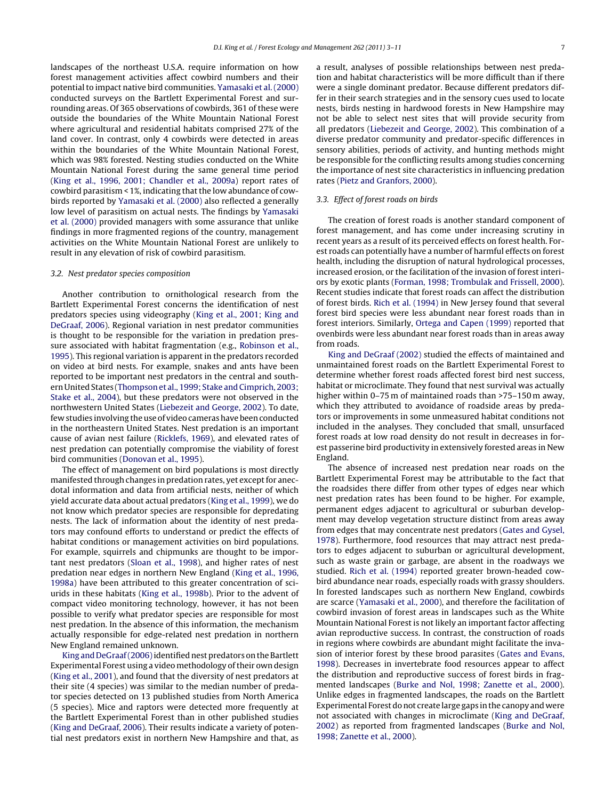landscapes of the northeast U.S.A. require information on how forest management activities affect cowbird numbers and their potential to impact native bird communities. [Yamasaki et al. \(2000\)](#page-8-0) conducted surveys on the Bartlett Experimental Forest and surrounding areas. Of 365 observations of cowbirds, 361 of these were outside the boundaries of the White Mountain National Forest where agricultural and residential habitats comprised 27% of the land cover. In contrast, only 4 cowbirds were detected in areas within the boundaries of the White Mountain National Forest, which was 98% forested. Nesting studies conducted on the White Mountain National Forest during the same general time period ([King et al., 1996, 2001; Chandler et al., 2009a\)](#page-7-0) report rates of cowbird parasitism < 1%, indicating that the low abundance of cowbirds reported by [Yamasaki et al. \(2000\)](#page-8-0) also reflected a generally low level of parasitism on actual nests. The findings by [Yamasaki](#page-8-0) [et al. \(2000\)](#page-8-0) provided managers with some assurance that unlike findings in more fragmented regions of the country, management activities on the White Mountain National Forest are unlikely to result in any elevation of risk of cowbird parasitism.

# 3.2. Nest predator species composition

Another contribution to ornithological research from the Bartlett Experimental Forest concerns the identification of nest predators species using videography [\(King et al., 2001; King and](#page-7-0) [DeGraaf, 2006\).](#page-7-0) Regional variation in nest predator communities is thought to be responsible for the variation in predation pressure associated with habitat fragmentation (e.g., [Robinson et al.,](#page-7-0) [1995\).](#page-7-0) This regional variation is apparent in the predators recorded on video at bird nests. For example, snakes and ants have been reported to be important nest predators in the central and southern United States [\(Thompson et al., 1999; Stake and Cimprich, 2003;](#page-7-0) [Stake et al., 2004\),](#page-7-0) but these predators were not observed in the northwestern United States [\(Liebezeit and George, 2002\).](#page-7-0) To date, few studies involving the use of video cameras have been conducted in the northeastern United States. Nest predation is an important cause of avian nest failure ([Ricklefs, 1969\),](#page-7-0) and elevated rates of nest predation can potentially compromise the viability of forest bird communities ([Donovan et al., 1995\).](#page-7-0)

The effect of management on bird populations is most directly manifested through changes in predation rates, yet except for anecdotal information and data from artificial nests, neither of which yield accurate data about actual predators [\(King et al., 1999\),](#page-7-0) we do not know which predator species are responsible for depredating nests. The lack of information about the identity of nest predators may confound efforts to understand or predict the effects of habitat conditions or management activities on bird populations. For example, squirrels and chipmunks are thought to be important nest predators ([Sloan et al., 1998\),](#page-7-0) and higher rates of nest predation near edges in northern New England ([King et al., 1996,](#page-7-0) [1998a\)](#page-7-0) have been attributed to this greater concentration of sciurids in these habitats [\(King et al., 1998b\).](#page-7-0) Prior to the advent of compact video monitoring technology, however, it has not been possible to verify what predator species are responsible for most nest predation. In the absence of this information, the mechanism actually responsible for edge-related nest predation in northern New England remained unknown.

King and DeGraaf (2006) identified nest predators on the Bartlett Experimental Forest using a video methodology of their own design ([King et al., 2001\),](#page-7-0) and found that the diversity of nest predators at their site (4 species) was similar to the median number of predator species detected on 13 published studies from North America (5 species). Mice and raptors were detected more frequently at the Bartlett Experimental Forest than in other published studies ([King and DeGraaf, 2006\).](#page-7-0) Their results indicate a variety of potential nest predators exist in northern New Hampshire and that, as a result, analyses of possible relationships between nest predation and habitat characteristics will be more difficult than if there were a single dominant predator. Because different predators differ in their search strategies and in the sensory cues used to locate nests, birds nesting in hardwood forests in New Hampshire may not be able to select nest sites that will provide security from all predators ([Liebezeit and George, 2002\).](#page-7-0) This combination of a diverse predator community and predator-specific differences in sensory abilities, periods of activity, and hunting methods might be responsible for the conflicting results among studies concerning the importance of nest site characteristics in influencing predation rates [\(Pietz and Granfors, 2000\).](#page-7-0)

# 3.3. Effect of forest roads on birds

The creation of forest roads is another standard component of forest management, and has come under increasing scrutiny in recent years as a result of its perceived effects on forest health. Forest roads can potentially have a number of harmful effects on forest health, including the disruption of natural hydrological processes, increased erosion, or the facilitation of the invasion of forest interiors by exotic plants [\(Forman, 1998; Trombulak and Frissell, 2000\).](#page-7-0) Recent studies indicate that forest roads can affect the distribution of forest birds. [Rich et al. \(1994\)](#page-7-0) in New Jersey found that several forest bird species were less abundant near forest roads than in forest interiors. Similarly, [Ortega and Capen \(1999\)](#page-7-0) reported that ovenbirds were less abundant near forest roads than in areas away from roads.

[King and DeGraaf \(2002\)](#page-7-0) studied the effects of maintained and unmaintained forest roads on the Bartlett Experimental Forest to determine whether forest roads affected forest bird nest success, habitat or microclimate. They found that nest survival was actually higher within 0-75 m of maintained roads than >75-150 m away, which they attributed to avoidance of roadside areas by predators or improvements in some unmeasured habitat conditions not included in the analyses. They concluded that small, unsurfaced forest roads at low road density do not result in decreases in forest passerine bird productivity in extensively forested areas in New England.

The absence of increased nest predation near roads on the Bartlett Experimental Forest may be attributable to the fact that the roadsides there differ from other types of edges near which nest predation rates has been found to be higher. For example, permanent edges adjacent to agricultural or suburban development may develop vegetation structure distinct from areas away from edges that may concentrate nest predators [\(Gates and Gysel,](#page-7-0) [1978\).](#page-7-0) Furthermore, food resources that may attract nest predators to edges adjacent to suburban or agricultural development, such as waste grain or garbage, are absent in the roadways we studied. [Rich et al. \(1994\)](#page-7-0) reported greater brown-headed cowbird abundance near roads, especially roads with grassy shoulders. In forested landscapes such as northern New England, cowbirds are scarce ([Yamasaki et al., 2000\),](#page-8-0) and therefore the facilitation of cowbird invasion of forest areas in landscapes such as the White Mountain National Forest is not likely an important factor affecting avian reproductive success. In contrast, the construction of roads in regions where cowbirds are abundant might facilitate the invasion of interior forest by these brood parasites ([Gates and Evans,](#page-7-0) [1998\).](#page-7-0) Decreases in invertebrate food resources appear to affect the distribution and reproductive success of forest birds in fragmented landscapes ([Burke and Nol, 1998; Zanette et al., 2000\).](#page-6-0) Unlike edges in fragmented landscapes, the roads on the Bartlett Experimental Forest do not create large gaps in the canopy and were not associated with changes in microclimate [\(King and DeGraaf,](#page-7-0) [2002\)](#page-7-0) as reported from fragmented landscapes ([Burke and Nol,](#page-6-0) [1998; Zanette et al., 2000\).](#page-6-0)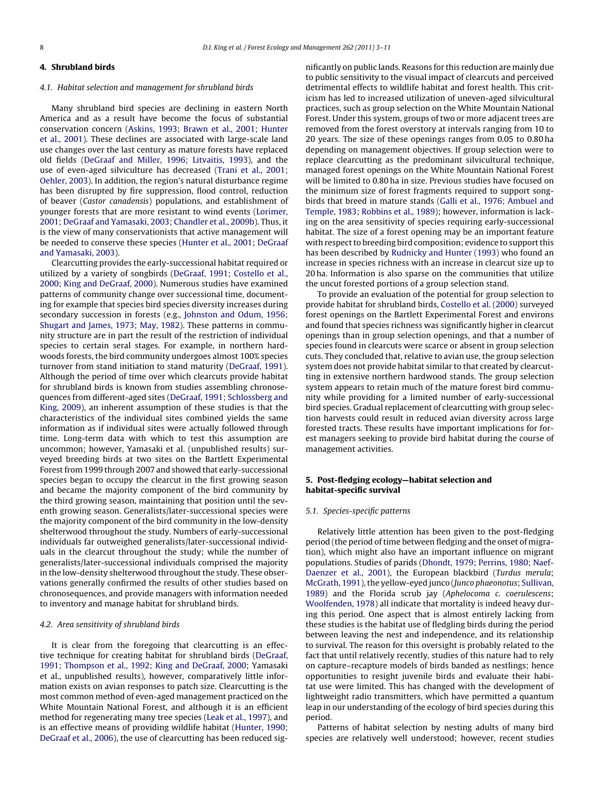# **4. Shrubland birds**

#### 4.1. Habitat selection and management for shrubland birds

Many shrubland bird species are declining in eastern North America and as a result have become the focus of substantial conservation concern ([Askins, 1993; Brawn et al., 2001; Hunter](#page-6-0) [et al., 2001\).](#page-6-0) These declines are associated with large-scale land use changes over the last century as mature forests have replaced old fields ([DeGraaf and Miller, 1996; Litvaitis, 1993\),](#page-6-0) and the use of even-aged silviculture has decreased [\(Trani et al., 2001;](#page-7-0) [Oehler, 2003\).](#page-7-0) In addition, the region's natural disturbance regime has been disrupted by fire suppression, flood control, reduction of beaver (Castor canadensis) populations, and establishment of younger forests that are more resistant to wind events [\(Lorimer,](#page-7-0) [2001; DeGraaf and Yamasaki, 2003; Chandler et al., 2009b\).](#page-7-0) Thus, it is the view of many conservationists that active management will be needed to conserve these species [\(Hunter et al., 2001; DeGraaf](#page-7-0) [and Yamasaki, 2003\).](#page-7-0)

Clearcutting provides the early-successional habitat required or utilized by a variety of songbirds ([DeGraaf, 1991; Costello et al.,](#page-6-0) [2000; King and DeGraaf, 2000\).](#page-6-0) Numerous studies have examined patterns of community change over successional time, documenting for example that species bird species diversity increases during secondary succession in forests (e.g., [Johnston and Odum, 1956;](#page-7-0) [Shugart and James, 1973; May, 1982\).](#page-7-0) These patterns in community structure are in part the result of the restriction of individual species to certain seral stages. For example, in northern hardwoods forests, the bird community undergoes almost 100% species turnover from stand initiation to stand maturity ([DeGraaf, 1991\).](#page-6-0) Although the period of time over which clearcuts provide habitat for shrubland birds is known from studies assembling chronosequences from different-aged sites ([DeGraaf, 1991; Schlossberg and](#page-6-0) [King, 2009\),](#page-6-0) an inherent assumption of these studies is that the characteristics of the individual sites combined yields the same information as if individual sites were actually followed through time. Long-term data with which to test this assumption are uncommon; however, Yamasaki et al. (unpublished results) surveyed breeding birds at two sites on the Bartlett Experimental Forest from 1999 through 2007 and showed that early-successional species began to occupy the clearcut in the first growing season and became the majority component of the bird community by the third growing season, maintaining that position until the seventh growing season. Generalists/later-successional species were the majority component of the bird community in the low-density shelterwood throughout the study. Numbers of early-successional individuals far outweighed generalists/later-successional individuals in the clearcut throughout the study; while the number of generalists/later-successional individuals comprised the majority in the low-density shelterwood throughout the study. These observations generally confirmed the results of other studies based on chronosequences, and provide managers with information needed to inventory and manage habitat for shrubland birds.

# 4.2. Area sensitivity of shrubland birds

It is clear from the foregoing that clearcutting is an effective technique for creating habitat for shrubland birds ([DeGraaf,](#page-6-0) [1991; Thompson et al., 1992; King and DeGraaf, 2000;](#page-6-0) Yamasaki et al., unpublished results), however, comparatively little information exists on avian responses to patch size. Clearcutting is the most common method of even-aged management practiced on the White Mountain National Forest, and although it is an efficient method for regenerating many tree species [\(Leak et al., 1997\),](#page-7-0) and is an effective means of providing wildlife habitat ([Hunter, 1990;](#page-7-0) [DeGraaf et al., 2006\),](#page-7-0) the use of clearcutting has been reduced significantly on public lands. Reasons for this reduction are mainly due to public sensitivity to the visual impact of clearcuts and perceived detrimental effects to wildlife habitat and forest health. This criticism has led to increased utilization of uneven-aged silvicultural practices, such as group selection on the White Mountain National Forest. Under this system, groups of two or more adjacent trees are removed from the forest overstory at intervals ranging from 10 to 20 years. The size of these openings ranges from 0.05 to 0.80 ha depending on management objectives. If group selection were to replace clearcutting as the predominant silvicultural technique, managed forest openings on the White Mountain National Forest will be limited to 0.80 ha in size. Previous studies have focused on the minimum size of forest fragments required to support songbirds that breed in mature stands ([Galli et al., 1976; Ambuel and](#page-7-0) [Temple, 1983; Robbins et al., 1989\);](#page-7-0) however, information is lacking on the area sensitivity of species requiring early-successional habitat. The size of a forest opening may be an important feature with respect to breeding bird composition; evidence to support this has been described by [Rudnicky and Hunter \(1993\)](#page-7-0) who found an increase in species richness with an increase in clearcut size up to 20 ha. Information is also sparse on the communities that utilize the uncut forested portions of a group selection stand.

To provide an evaluation of the potential for group selection to provide habitat for shrubland birds, [Costello et al. \(2000\)](#page-6-0) surveyed forest openings on the Bartlett Experimental Forest and environs and found that species richness was significantly higher in clearcut openings than in group selection openings, and that a number of species found in clearcuts were scarce or absent in group selection cuts. They concluded that, relative to avian use, the group selection system does not provide habitat similar to that created by clearcutting in extensive northern hardwood stands. The group selection system appears to retain much of the mature forest bird community while providing for a limited number of early-successional bird species. Gradual replacement of clearcutting with group selection harvests could result in reduced avian diversity across large forested tracts. These results have important implications for forest managers seeking to provide bird habitat during the course of management activities.

# **5. Post-fledging ecology—habitat selection and habitat-specific survival**

#### 5.1. Species-specific patterns

Relatively little attention has been given to the post-fledging period (the period of time between fledging and the onset of migration), which might also have an important influence on migrant populations. Studies of parids ([Dhondt, 1979; Perrins, 1980; Naef](#page-7-0)Daenzer [et al., 2001\),](#page-7-0) the European blackbird (Turdus merula; [McGrath, 1991\),](#page-7-0) the yellow-eyed junco (Junco phaeonotus; [Sullivan,](#page-7-0) [1989\)](#page-7-0) and the Florida scrub jay (Aphelocoma c. coerulescens; [Woolfenden, 1978\)](#page-8-0) all indicate that mortality is indeed heavy during this period. One aspect that is almost entirely lacking from these studies is the habitat use of fledgling birds during the period between leaving the nest and independence, and its relationship to survival. The reason for this oversight is probably related to the fact that until relatively recently, studies of this nature had to rely on capture–recapture models of birds banded as nestlings; hence opportunities to resight juvenile birds and evaluate their habitat use were limited. This has changed with the development of lightweight radio transmitters, which have permitted a quantum leap in our understanding of the ecology of bird species during this period.

Patterns of habitat selection by nesting adults of many bird species are relatively well understood; however, recent studies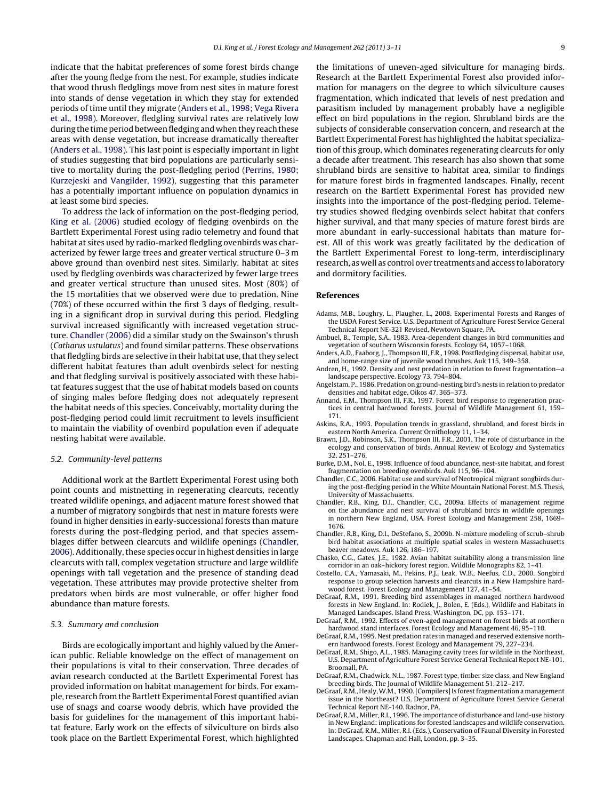<span id="page-6-0"></span>indicate that the habitat preferences of some forest birds change after the young fledge from the nest. For example, studies indicate that wood thrush fledglings move from nest sites in mature forest into stands of dense vegetation in which they stay for extended periods of time until they migrate (Anders et al., 1998; Vega Rivera et al., 1998). Moreover, fledgling survival rates are relatively low during the time period between fledging and when they reach these areas with dense vegetation, but increase dramatically thereafter (Anders et al., 1998). This last point is especially important in light of studies suggesting that bird populations are particularly sensitive to mortality during the post-fledgling period [\(Perrins, 1980;](#page-7-0) [Kurzejeski and Vangilder, 1992\),](#page-7-0) suggesting that this parameter has a potentially important influence on population dynamics in at least some bird species.

To address the lack of information on the post-fledging period, [King et al. \(2006\)](#page-7-0) studied ecology of fledging ovenbirds on the Bartlett Experimental Forest using radio telemetry and found that habitat at sites used by radio-marked fledgling ovenbirds was characterized by fewer large trees and greater vertical structure 0–3 m above ground than ovenbird nest sites. Similarly, habitat at sites used by fledgling ovenbirds was characterized by fewer large trees and greater vertical structure than unused sites. Most (80%) of the 15 mortalities that we observed were due to predation. Nine (70%) of these occurred within the first 3 days of fledging, resulting in a significant drop in survival during this period. Fledgling survival increased significantly with increased vegetation structure. Chandler (2006) did a similar study on the Swainson's thrush (Catharus ustulatus) and found similar patterns. These observations that fledgling birds are selective in their habitat use, that they select different habitat features than adult ovenbirds select for nesting and that fledgling survival is positively associated with these habitat features suggest that the use of habitat models based on counts of singing males before fledging does not adequately represent the habitat needs of this species. Conceivably, mortality during the post-fledging period could limit recruitment to levels insufficient to maintain the viability of ovenbird population even if adequate nesting habitat were available.

#### 5.2. Community-level patterns

Additional work at the Bartlett Experimental Forest using both point counts and mistnetting in regenerating clearcuts, recently treated wildlife openings, and adjacent mature forest showed that a number of migratory songbirds that nest in mature forests were found in higher densities in early-successional forests than mature forests during the post-fledging period, and that species assemblages differ between clearcuts and wildlife openings (Chandler, 2006). Additionally, these species occur in highest densities in large clearcuts with tall, complex vegetation structure and large wildlife openings with tall vegetation and the presence of standing dead vegetation. These attributes may provide protective shelter from predators when birds are most vulnerable, or offer higher food abundance than mature forests.

# 5.3. Summary and conclusion

Birds are ecologically important and highly valued by the American public. Reliable knowledge on the effect of management on their populations is vital to their conservation. Three decades of avian research conducted at the Bartlett Experimental Forest has provided information on habitat management for birds. For example, research from the Bartlett Experimental Forest quantified avian use of snags and coarse woody debris, which have provided the basis for guidelines for the management of this important habitat feature. Early work on the effects of silviculture on birds also took place on the Bartlett Experimental Forest, which highlighted the limitations of uneven-aged silviculture for managing birds. Research at the Bartlett Experimental Forest also provided information for managers on the degree to which silviculture causes fragmentation, which indicated that levels of nest predation and parasitism included by management probably have a negligible effect on bird populations in the region. Shrubland birds are the subjects of considerable conservation concern, and research at the Bartlett Experimental Forest has highlighted the habitat specialization of this group, which dominates regenerating clearcuts for only a decade after treatment. This research has also shown that some shrubland birds are sensitive to habitat area, similar to findings for mature forest birds in fragmented landscapes. Finally, recent research on the Bartlett Experimental Forest has provided new insights into the importance of the post-fledging period. Telemetry studies showed fledging ovenbirds select habitat that confers higher survival, and that many species of mature forest birds are more abundant in early-successional habitats than mature forest. All of this work was greatly facilitated by the dedication of the Bartlett Experimental Forest to long-term, interdisciplinary research, as well as control over treatments and access to laboratory and dormitory facilities.

#### **References**

- Adams, M.B., Loughry, L., Plaugher, L., 2008. Experimental Forests and Ranges of the USDA Forest Service. U.S. Department of Agriculture Forest Service General Technical Report NE-321 Revised, Newtown Square, PA.
- Ambuel, B., Temple, S.A., 1983. Area-dependent changes in bird communities and vegetation of southern Wisconsin forests. Ecology 64, 1057–1068.
- Anders, A.D., Faaborg, J., Thompson III, F.R., 1998. Postfledging dispersal, habitat use, and home-range size of juvenile wood thrushes. Auk 115, 349–358.
- Andren, H., 1992. Density and nest predation in relation to forest fragmentation—a landscape perspective. Ecology 73, 794–804.
- Angelstam, P., 1986. Predation on ground-nesting bird's nests in relation to predator densities and habitat edge. Oikos 47, 365–373.
- Annand, E.M., Thompson III, F.R., 1997. Forest bird response to regeneration practices in central hardwood forests. Journal of Wildlife Management 61, 159– 171.
- Askins, R.A., 1993. Population trends in grassland, shrubland, and forest birds in
- eastern North America. Current Ornithology 11, 1–34. Brawn, J.D., Robinson, S.K., Thompson III, F.R., 2001. The role of disturbance in the ecology and conservation of birds. Annual Review of Ecology and Systematics 32, 251–276.
- Burke, D.M., Nol, E., 1998. Influence of food abundance, nest-site habitat, and forest fragmentation on breeding ovenbirds. Auk 115, 96–104.
- Chandler, C.C., 2006. Habitat use and survival of Neotropical migrant songbirds during the post-fledging period in the White Mountain National Forest. M.S. Thesis, University of Massachusetts.
- Chandler, R.B., King, D.I., Chandler, C.C., 2009a. Effects of management regime on the abundance and nest survival of shrubland birds in wildlife openings in northern New England, USA. Forest Ecology and Management 258, 1669– 1676.
- Chandler, R.B., King, D.I., DeStefano, S., 2009b. N-mixture modeling of scrub–shrub bird habitat associations at multiple spatial scales in western Massachusetts beaver meadows. Auk 126, 186–197.
- Chasko, C.G., Gates, J.E., 1982. Avian habitat suitability along a transmission line corridor in an oak–hickory forest region. Wildlife Monographs 82, 1–41.
- Costello, C.A., Yamasaki, M., Pekins, P.J., Leak, W.B., Neefus, C.D., 2000. Songbird response to group selection harvests and clearcuts in a New Hampshire hardwood forest. Forest Ecology and Management 127, 41–54.
- DeGraaf, R.M., 1991. Breeding bird assemblages in managed northern hardwood forests in New England. In: Rodiek, J., Bolen, E. (Eds.), Wildlife and Habitats in Managed Landscapes. Island Press, Washington, DC, pp. 153–171.
- DeGraaf, R.M., 1992. Effects of even-aged management on forest birds at northern hardwood stand interfaces. Forest Ecology and Management 46, 95–110.
- DeGraaf, R.M., 1995. Nest predation rates in managed and reserved extensive northern hardwood forests. Forest Ecology and Management 79, 227–234.
- DeGraaf, R.M., Shigo, A.L., 1985. Managing cavity trees for wildlife in the Northeast. U.S. Department of Agriculture Forest Service General Technical Report NE-101. Broomall, PA.
- DeGraaf, R.M., Chadwick, N.L., 1987. Forest type, timber size class, and New England breeding birds. The Journal of Wildlife Management 51, 212–217.
- DeGraaf, R.M., Healy, W.M., 1990. [Compilers] Is forest fragmentation a management issue in the Northeast? U.S. Department of Agriculture Forest Service General Technical Report NE-140. Radnor, PA.
- DeGraaf, R.M., Miller, R.I., 1996. The importance of disturbance and land-use history in New England: implications for forested landscapes and wildlife conservation. In: DeGraaf, R.M., Miller, R.I. (Eds.), Conservation of Faunal Diversity in Forested Landscapes. Chapman and Hall, London, pp. 3–35.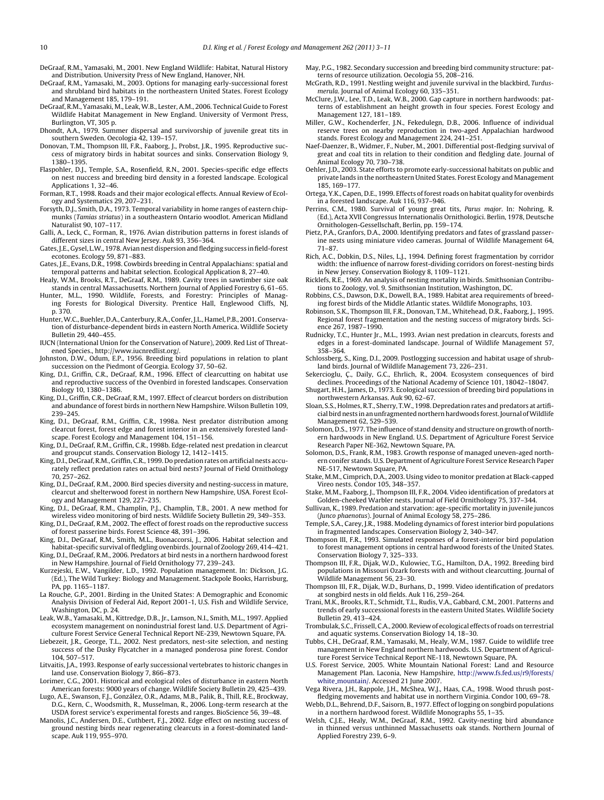- <span id="page-7-0"></span>DeGraaf, R.M., Yamasaki, M., 2001. New England Wildlife: Habitat, Natural History and Distribution. University Press of New England, Hanover, NH.
- DeGraaf, R.M., Yamasaki, M., 2003. Options for managing early-successional forest and shrubland bird habitats in the northeastern United States. Forest Ecology and Management 185, 179–191.
- DeGraaf, R.M., Yamasaki, M., Leak, W.B., Lester, A.M., 2006. Technical Guide to Forest Wildlife Habitat Management in New England. University of Vermont Press, Burlington, VT, 305 p.
- Dhondt, A.A., 1979. Summer dispersal and survivorship of juvenile great tits in southern Sweden. Oecologia 42, 139–157.
- Donovan, T.M., Thompson III, F.R., Faaborg, J., Probst, J.R., 1995. Reproductive success of migratory birds in habitat sources and sinks. Conservation Biology 9, 1380–1395.
- Flaspohler, D.J., Temple, S.A., Rosenfield, R.N., 2001. Species-specific edge effects on nest nuccess and breeding bird density in a forested landscape. Ecological Applications 1, 32–46.
- Forman, R.T., 1998. Roads and their major ecological effects. Annual Review of Ecology and Systematics 29, 207–231.
- Forsyth, D.J., Smith, D.A., 1973. Temporal variability in home ranges of eastern chipmunks (Tamias striatus) in a southeastern Ontario woodlot. American Midland Naturalist 90, 107–117.
- Galli, A., Leck, C., Forman, R., 1976. Avian distribution patterns in forest islands of different sizes in central New Jersey. Auk 93, 356–364.
- Gates, J.E., Gysel, L.W., 1978. Avian nest dispersion and fledging success in field-forest ecotones. Ecology 59, 871–883.
- Gates, J.E., Evans, D.R., 1998. Cowbirds breeding in Central Appalachians: spatial and temporal patterns and habitat selection. Ecological Application 8, 27–40.
- Healy, W.M., Brooks, R.T., DeGraaf, R.M., 1989. Cavity trees in sawtimber size oak stands in central Massachusetts. Northern Journal of Applied Forestry 6, 61–65.
- Hunter, M.L., 1990. Wildlife, Forests, and Forestry: Principles of Manag-ing Forests for Biological Diversity. Prentice Hall, Englewood Cliffs, NJ, p. 370.
- Hunter,W.C., Buehler, D.A., Canterbury, R.A., Confer, J.L., Hamel, P.B., 2001. Conservation of disturbance-dependent birds in eastern North America. Wildlife Society Bulletin 29, 440–455.
- IUCN (International Union for the Conservation of Nature), 2009. Red List of Threatened Species., http://www.iucnredlist.org/.
- Johnston, D.W., Odum, E.P., 1956. Breeding bird populations in relation to plant succession on the Piedmont of Georgia. Ecology 37, 50–62.
- King, D.I., Griffin, C.R., DeGraaf, R.M., 1996. Effect of clearcutting on habitat use and reproductive success of the Ovenbird in forested landscapes. Conservation Biology 10, 1380–1386.
- King, D.I., Griffin, C.R., DeGraaf, R.M., 1997. Effect of clearcut borders on distribution and abundance of forest birds in northern New Hampshire. Wilson Bulletin 109, 239–245.
- King, D.I., DeGraaf, R.M., Griffin, C.R., 1998a. Nest predator distribution among clearcut forest, forest edge and forest interior in an extensively forested landscape. Forest Ecology and Management 104, 151–156.
- King, D.I., DeGraaf, R.M., Griffin, C.R., 1998b. Edge-related nest predation in clearcut and groupcut stands. Conservation Biology 12, 1412–1415.
- King, D.I., DeGraaf, R.M., Griffin, C.R., 1999. Do predation rates on artificial nests accurately reflect predation rates on actual bird nests? Journal of Field Ornithology 70, 257–262.
- King, D.I., DeGraaf, R.M., 2000. Bird species diversity and nesting-success in mature, clearcut and shelterwood forest in northern New Hampshire, USA. Forest Ecology and Management 129, 227–235.
- King, D.I., DeGraaf, R.M., Champlin, P.J., Champlin, T.B., 2001. A new method for wireless video monitoring of bird nests. Wildlife Society Bulletin 29, 349–353.
- King, D.I., DeGraaf, R.M., 2002. The effect of forest roads on the reproductive success of forest passerine birds. Forest Science 48, 391–396.
- King, D.I., DeGraaf, R.M., Smith, M.L., Buonaccorsi, J., 2006. Habitat selection and habitat-specific survival of fledgling ovenbirds. Journal of Zoology 269, 414–421.
- King, D.I., DeGraaf, R.M., 2006. Predators at bird nests in a northern hardwood forest in New Hampshire. Journal of Field Ornithology 77, 239–243.
- Kurzejeski, E.W., Vangilder, L.D., 1992. Population management. In: Dickson, J.G. (Ed.), The Wild Turkey: Biology and Management. Stackpole Books, Harrisburg, PA, pp. 1165–1187.
- La Rouche, G.P., 2001. Birding in the United States: A Demographic and Economic Analysis Division of Federal Aid, Report 2001-1, U.S. Fish and Wildlife Service, Washington, DC, p. 24.
- Leak, W.B., Yamasaki, M., Kittredge, D.B., Jr., Lamson, N.I., Smith, M.L., 1997. Applied ecosystem management on nonindustrial forest land. U.S. Department of Agriculture Forest Service General Technical Report NE-239, Newtown Square, PA.
- Liebezeit, J.R., George, T.L., 2002. Nest predators, nest-site selection, and nesting success of the Dusky Flycatcher in a managed ponderosa pine forest. Condor 104, 507–517.
- Litvaitis, J.A., 1993. Response of early successional vertebrates to historic changes in land use. Conservation Biology 7, 866–873.
- Lorimer, C.G., 2001. Historical and ecological roles of disturbance in eastern North American forests: 9000 years of change. Wildlife Society Bulletin 29, 425–439.
- Lugo, A.E., Swanson, F.J., González, O.R., Adams, M.B., Palik, B., Thill, R.E., Brockway, D.G., Kern, C., Woodsmith, R., Musselman, R., 2006. Long-term research at the USDA forest service's experimental forests and ranges. BioScience 56, 39–48.
- Manolis, J.C., Andersen, D.E., Cuthbert, F.J., 2002. Edge effect on nesting success of ground nesting birds near regenerating clearcuts in a forest-dominated landscape. Auk 119, 955–970.
- May, P.G., 1982. Secondary succession and breeding bird community structure: patterns of resource utilization. Oecologia 55, 208–216.
- McGrath, R.D., 1991. Nestling weight and juvenile survival in the blackbird, Turdusmerula. Journal of Animal Ecology 60, 335–351.
- McClure, J.W., Lee, T.D., Leak, W.B., 2000. Gap capture in northern hardwoods: patterns of establishment an height growth in four species. Forest Ecology and Management 127, 181–189.
- Miller, G.W., Kochenderfer, J.N., Fekedulegn, D.B., 2006. Influence of individual reserve trees on nearby reproduction in two-aged Appalachian hardwood stands. Forest Ecology and Management 224, 241–251.
- Naef-Daenzer, B., Widmer, F., Nuber, M., 2001. Differential post-fledging survival of great and coal tits in relation to their condition and fledgling date. Journal of Animal Ecology 70, 730–738.
- Oehler, J.D., 2003. State efforts to promote early-successional habitats on public and private lands in the northeastern United States. Forest Ecology and Management 185, 169–177.
- Ortega, Y.K., Capen, D.E., 1999. Effects of forest roads on habitat quality for ovenbirds in a forested landscape. Auk 116, 937–946.
- Perrins, C.M., 1980. Survival of young great tits, Parus major. In: Nohring, R. (Ed.), Acta XVII Congressus Internationalis Ornithologici. Berlin, 1978, Deutsche Ornithologen-Gessellschaft, Berlin, pp. 159–174.
- Pietz, P.A., Granfors, D.A., 2000. Identifying predators and fates of grassland passerine nests using miniature video cameras. Journal of Wildlife Management 64, 71–87.
- Rich, A.C., Dobkin, D.S., Niles, L.J., 1994. Defining forest fragmentation by corridor width: the influence of narrow forest-dividing corridors on forest-nesting birds in New Jersey. Conservation Biology 8, 1109–1121.
- Ricklefs, R.E., 1969. An analysis of nesting mortality in birds. Smithsonian Contributions to Zoology, vol. 9. Smithsonian Institution, Washington, DC.
- Robbins, C.S., Dawson, D.K., Dowell, B.A., 1989. Habitat area requirements of breeding forest birds of the Middle Atlantic states. Wildlife Monographs, 103.
- Robinson, S.K., Thompson III, F.R., Donovan, T.M., Whitehead, D.R., Faaborg, J., 1995. Regional forest fragmentation and the nesting success of migratory birds. Science 267, 1987–1990.
- Rudnicky, T.C., Hunter Jr., M.L., 1993. Avian nest predation in clearcuts, forests and edges in a forest-dominated landscape. Journal of Wildlife Management 57, 358–364.
- Schlossberg, S., King, D.I., 2009. Postlogging succession and habitat usage of shrubland birds. Journal of Wildlife Management 73, 226–231.
- Sekercioglu, Ç., Daily, G.C., Ehrlich, R., 2004. Ecosystem consequences of bird declines. Proceedings of the National Academy of Science 101, 18042–18047.
- Shugart, H.H., James, D., 1973. Ecological succession of breeding bird populations in northwestern Arkansas. Auk 90, 62–67.
- Sloan, S.S., Holmes, R.T., Sherry, T.W., 1998. Depredation rates and predators at artificial bird nests in an unfragmented northern hardwoods forest. Journal ofWildlife Management 62, 529–539.
- Solomon, D.S., 1977. The influence of stand density and structure on growth of northern hardwoods in New England. U.S. Department of Agriculture Forest Service Research Paper NE-362, Newtown Square, PA.
- Solomon, D.S., Frank, R.M., 1983. Growth response of managed uneven-aged northern conifer stands. U.S. Department of Agriculture Forest Service Research Paper NE-517, Newtown Square, PA.
- Stake, M.M., Cimprich, D.A., 2003. Using video to monitor predation at Black-capped Vireo nests. Condor 105, 348–357.
- Stake, M.M., Faaborg, J., Thompson III, F.R., 2004. Video identification of predators at Golden-cheeked Warbler nests. Journal of Field Ornithology 75, 337–344.
- Sullivan, K., 1989. Predation and starvation: age-specific mortality in juvenile juncos (Junco phaenotus). Journal of Animal Ecology 58, 275–286.
- Temple, S.A., Carey, J.R., 1988. Modeling dynamics of forest interior bird populations in fragmented landscapes. Conservation Biology 2, 340–347.
- Thompson III, F.R., 1993. Simulated responses of a forest-interior bird population to forest management options in central hardwood forests of the United States. Conservation Biology 7, 325–333.
- Thompson III, F.R., Dijak, W.D., Kulowiec, T.G., Hamilton, D.A., 1992. Breeding bird populations in Missouri Ozark forests with and without clearcutting. Journal of Wildlife Management 56, 23–30.
- Thompson III, F.R., Dijak, W.D., Burhans, D., 1999. Video identification of predators at songbird nests in old fields. Auk 116, 259–264.
- Trani, M.K., Brooks, R.T., Schmidt, T.L., Rudis, V.A., Gabbard, C.M., 2001. Patterns and trends of early successional forests in the eastern United States. Wildlife Society Bulletin 29, 413–424.
- Trombulak, S.C., Frissell, C.A., 2000. Review of ecological effects of roads on terrestrial and aquatic systems. Conservation Biology 14, 18–30.
- Tubbs, C.H., DeGraaf, R.M., Yamasaki, M., Healy, W.M., 1987. Guide to wildlife tree management in New England northern hardwoods. U.S. Department of Agriculture Forest Service Technical Report NE-118, Newtown Square, PA.
- U.S. Forest Service, 2005. White Mountain National Forest: Land and Resource Management Plan. Laconia, New Hampshire, [http://www.fs.fed.us/r9/forests/](http://www.fs.fed.us/r9/forests/white_mountain/) white mountain/. Accessed 21 June 2007.
- Vega Rivera, J.H., Rappole, J.H., McShea, W.J., Haas, C.A., 1998. Wood thrush postfledging movements and habitat use in northern Virginia. Condor 100, 69–78.
- Webb, D.L., Behrend, D.F., Saisorn, B., 1977. Effect of logging on songbird populations in a northern hardwood forest. Wildlife Monographs 55, 1–35.
- Welsh, C.J.E., Healy, W.M., DeGraaf, R.M., 1992. Cavity-nesting bird abundance in thinned versus unthinned Massachusetts oak stands. Northern Journal of Applied Forestry 239, 6–9.